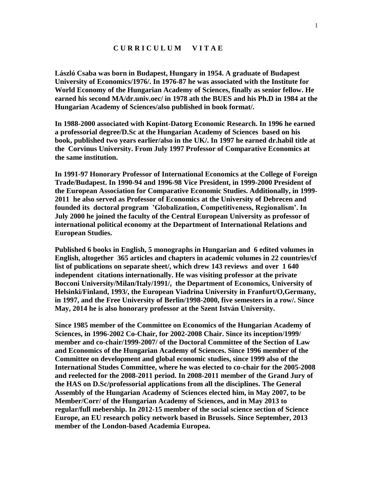## **C U R R I C U L U M V I T A E**

**László Csaba was born in Budapest, Hungary in 1954. A graduate of Budapest University of Economics/1976/. In 1976-87 he was associated with the Institute for World Economy of the Hungarian Academy of Sciences, finally as senior fellow. He earned his second MA/dr.univ.oec/ in 1978 ath the BUES and his Ph.D in 1984 at the Hungarian Academy of Sciences/also published in book format/.**

**In 1988-2000 associated with Kopint-Datorg Economic Research. In 1996 he earned a professorial degree/D.Sc at the Hungarian Academy of Sciences based on his book, published two years earlier/also in the UK/. In 1997 he earned dr.habil title at the Corvinus University. From July 1997 Professor of Comparative Economics at the same institution.**

**In 1991-97 Honorary Professor of International Economics at the College of Foreign Trade/Budapest. In 1990-94 and 1996-98 Vice President, in 1999-2000 President of the European Association for Comparative Economic Studies. Additionally, in 1999- 2011 he also served as Professor of Economics at the University of Debrecen and founded its doctoral program 'Globalization, Competitiveness, Regionalism'. In July 2000 he joined the faculty of the Central European University as professor of international political economy at the Department of International Relations and European Studies.** 

**Published 6 books in English, 5 monographs in Hungarian and 6 edited volumes in English, altogether 365 articles and chapters in academic volumes in 22 countries/cf list of publications on separate sheet/, which drew 143 reviews and over 1 640 independent citations internationally. He was visiting professor at the private Bocconi University/Milan/Italy/1991/, the Department of Economics, University of Helsinki/Finland, 1993/, the European Viadrina University in Franfurt/O,Germany, in 1997, and the Free University of Berlin/1998-2000, five semesters in a row/. Since May, 2014 he is also honorary professor at the Szent István University.**

**Since 1985 member of the Committee on Economics of the Hungarian Academy of Sciences, in 1996-2002 Co-Chair, for 2002-2008 Chair. Since its inception/1999/ member and co-chair/1999-2007/ of the Doctoral Committee of the Section of Law and Economics of the Hungarian Academy of Sciences. Since 1996 member of the Committee on development and global economic studies, since 1999 also of the International Studes Committee, where he was elected to co-chair for the 2005-2008 and reelected for the 2008-2011 period. In 2008-2011 member of the Grand Jury of the HAS on D.Sc/professorial applications from all the disciplines. The General Assembly of the Hungarian Academy of Sciences elected him, in May 2007, to be Member/Corr/ of the Hungarian Academy of Sciences, and in May 2013 to regular/full mebership. In 2012-15 member of the social science section of Science Europe, an EU research policy network based in Brussels. Since September, 2013 member of the London-based Academia Europea.**